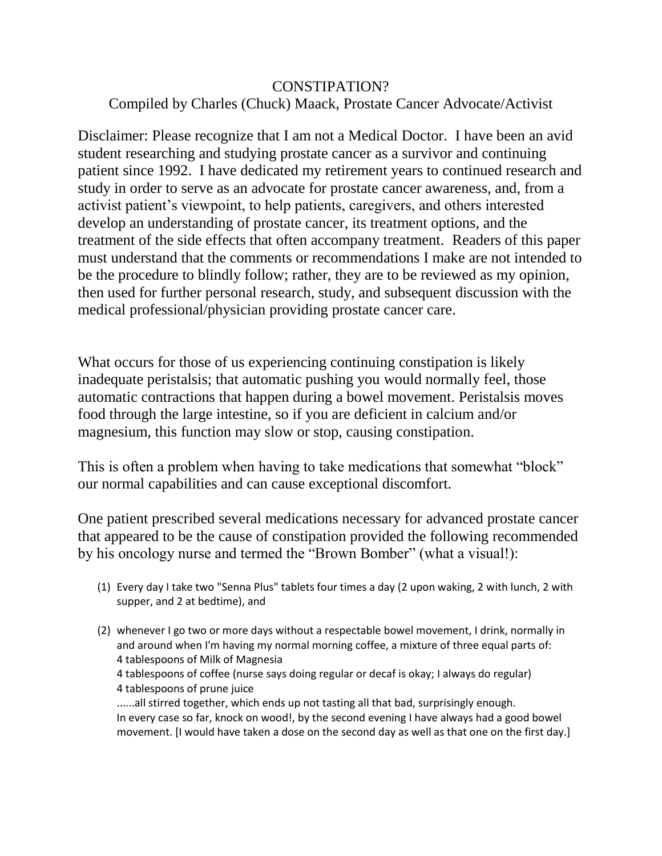## CONSTIPATION? Compiled by Charles (Chuck) Maack, Prostate Cancer Advocate/Activist

Disclaimer: Please recognize that I am not a Medical Doctor. I have been an avid student researching and studying prostate cancer as a survivor and continuing patient since 1992. I have dedicated my retirement years to continued research and study in order to serve as an advocate for prostate cancer awareness, and, from a activist patient's viewpoint, to help patients, caregivers, and others interested develop an understanding of prostate cancer, its treatment options, and the treatment of the side effects that often accompany treatment. Readers of this paper must understand that the comments or recommendations I make are not intended to be the procedure to blindly follow; rather, they are to be reviewed as my opinion, then used for further personal research, study, and subsequent discussion with the medical professional/physician providing prostate cancer care.

What occurs for those of us experiencing continuing constipation is likely inadequate peristalsis; that automatic pushing you would normally feel, those automatic contractions that happen during a bowel movement. Peristalsis moves food through the large intestine, so if you are deficient in calcium and/or magnesium, this function may slow or stop, causing constipation.

This is often a problem when having to take medications that somewhat "block" our normal capabilities and can cause exceptional discomfort.

One patient prescribed several medications necessary for advanced prostate cancer that appeared to be the cause of constipation provided the following recommended by his oncology nurse and termed the "Brown Bomber" (what a visual!):

- (1) Every day I take two "Senna Plus" tablets four times a day (2 upon waking, 2 with lunch, 2 with supper, and 2 at bedtime), and
- (2) whenever I go two or more days without a respectable bowel movement, I drink, normally in and around when I'm having my normal morning coffee, a mixture of three equal parts of: 4 tablespoons of Milk of Magnesia 4 tablespoons of coffee (nurse says doing regular or decaf is okay; I always do regular) 4 tablespoons of prune juice ......all stirred together, which ends up not tasting all that bad, surprisingly enough. In every case so far, knock on wood!, by the second evening I have always had a good bowel movement. [I would have taken a dose on the second day as well as that one on the first day.]